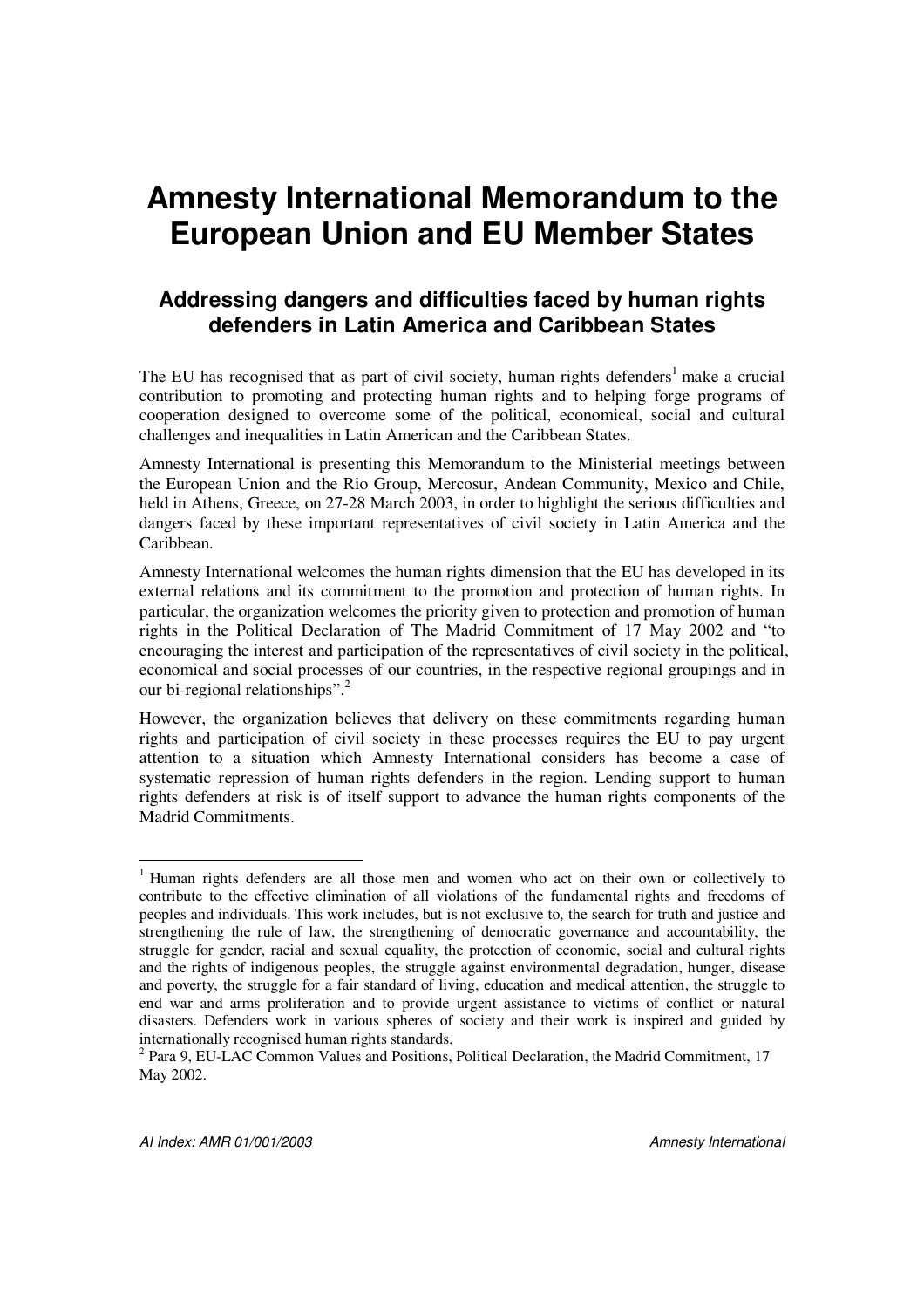# **Amnesty International Memorandum to the European Union and EU Member States**

### **Addressing dangers and difficulties faced by human rights defenders in Latin America and Caribbean States**

The EU has recognised that as part of civil society, human rights defenders<sup>1</sup> make a crucial contribution to promoting and protecting human rights and to helping forge programs of cooperation designed to overcome some of the political, economical, social and cultural challenges and inequalities in Latin American and the Caribbean States.

Amnesty International is presenting this Memorandum to the Ministerial meetings between the European Union and the Rio Group, Mercosur, Andean Community, Mexico and Chile, held in Athens, Greece, on 27-28 March 2003, in order to highlight the serious difficulties and dangers faced by these important representatives of civil society in Latin America and the Caribbean.

Amnesty International welcomes the human rights dimension that the EU has developed in its external relations and its commitment to the promotion and protection of human rights. In particular, the organization welcomes the priority given to protection and promotion of human rights in the Political Declaration of The Madrid Commitment of 17 May 2002 and "to encouraging the interest and participation of the representatives of civil society in the political, economical and social processes of our countries, in the respective regional groupings and in our bi-regional relationships".<sup>2</sup>

However, the organization believes that delivery on these commitments regarding human rights and participation of civil society in these processes requires the EU to pay urgent attention to a situation which Amnesty International considers has become a case of systematic repression of human rights defenders in the region. Lending support to human rights defenders at risk is of itself support to advance the human rights components of the Madrid Commitments.

<sup>&</sup>lt;sup>1</sup> Human rights defenders are all those men and women who act on their own or collectively to contribute to the effective elimination of all violations of the fundamental rights and freedoms of peoples and individuals. This work includes, but is not exclusive to, the search for truth and justice and strengthening the rule of law, the strengthening of democratic governance and accountability, the struggle for gender, racial and sexual equality, the protection of economic, social and cultural rights and the rights of indigenous peoples, the struggle against environmental degradation, hunger, disease and poverty, the struggle for a fair standard of living, education and medical attention, the struggle to end war and arms proliferation and to provide urgent assistance to victims of conflict or natural disasters. Defenders work in various spheres of society and their work is inspired and guided by internationally recognised human rights standards.

<sup>&</sup>lt;sup>2</sup> Para 9, EU-LAC Common Values and Positions, Political Declaration, the Madrid Commitment, 17 May 2002.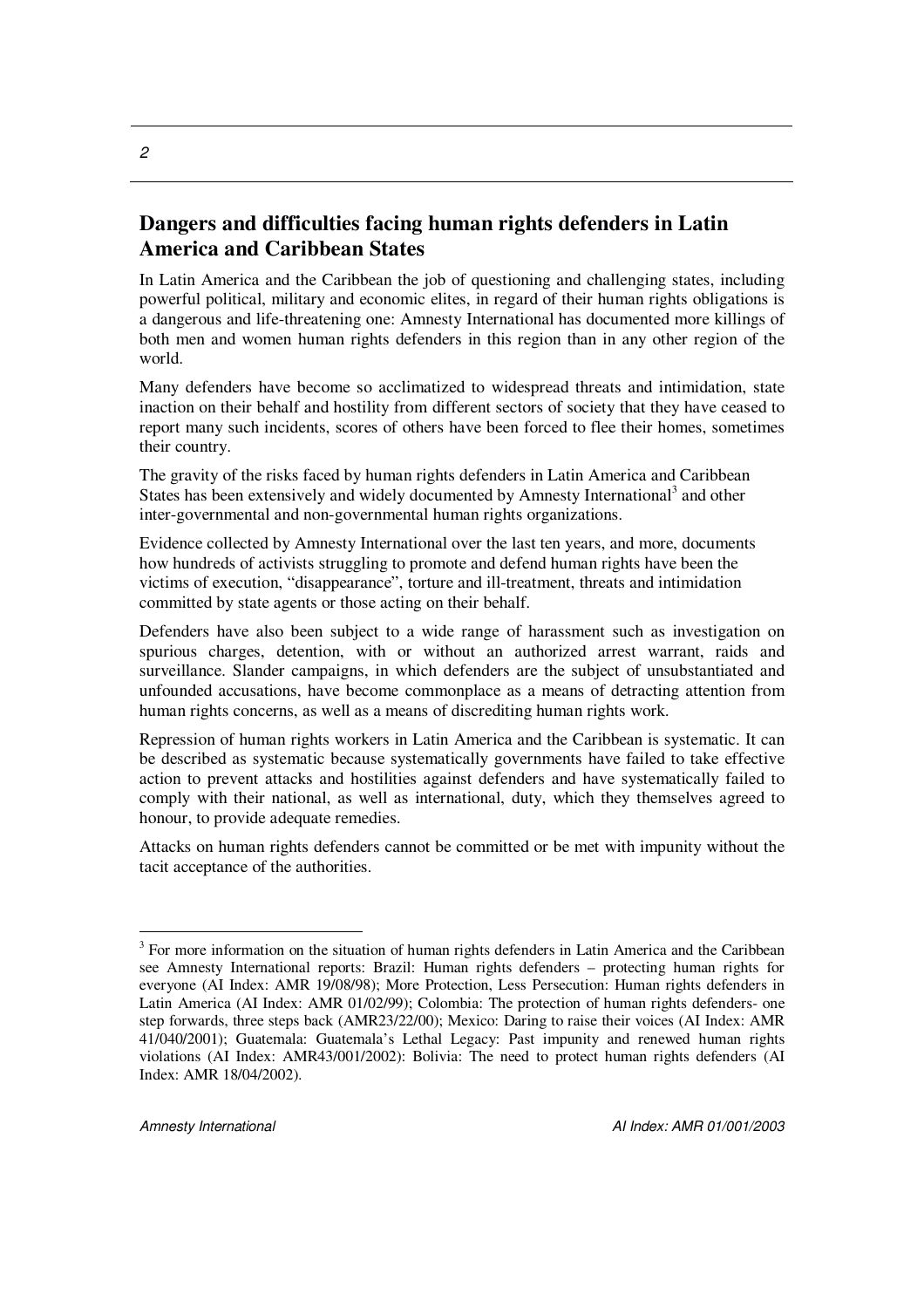#### **Dangers and difficulties facing human rights defenders in Latin America and Caribbean States**

In Latin America and the Caribbean the job of questioning and challenging states, including powerful political, military and economic elites, in regard of their human rights obligations is a dangerous and life-threatening one: Amnesty International has documented more killings of both men and women human rights defenders in this region than in any other region of the world.

Many defenders have become so acclimatized to widespread threats and intimidation, state inaction on their behalf and hostility from different sectors of society that they have ceased to report many such incidents, scores of others have been forced to flee their homes, sometimes their country.

The gravity of the risks faced by human rights defenders in Latin America and Caribbean States has been extensively and widely documented by Amnesty International<sup>3</sup> and other inter-governmental and non-governmental human rights organizations.

Evidence collected by Amnesty International over the last ten years, and more, documents how hundreds of activists struggling to promote and defend human rights have been the victims of execution, "disappearance", torture and ill-treatment, threats and intimidation committed by state agents or those acting on their behalf.

Defenders have also been subject to a wide range of harassment such as investigation on spurious charges, detention, with or without an authorized arrest warrant, raids and surveillance. Slander campaigns, in which defenders are the subject of unsubstantiated and unfounded accusations, have become commonplace as a means of detracting attention from human rights concerns, as well as a means of discrediting human rights work.

Repression of human rights workers in Latin America and the Caribbean is systematic. It can be described as systematic because systematically governments have failed to take effective action to prevent attacks and hostilities against defenders and have systematically failed to comply with their national, as well as international, duty, which they themselves agreed to honour, to provide adequate remedies.

Attacks on human rights defenders cannot be committed or be met with impunity without the tacit acceptance of the authorities.

<sup>&</sup>lt;sup>3</sup> For more information on the situation of human rights defenders in Latin America and the Caribbean see Amnesty International reports: Brazil: Human rights defenders – protecting human rights for everyone (AI Index: AMR 19/08/98); More Protection, Less Persecution: Human rights defenders in Latin America (AI Index: AMR 01/02/99); Colombia: The protection of human rights defenders- one step forwards, three steps back (AMR23/22/00); Mexico: Daring to raise their voices (AI Index: AMR 41/040/2001); Guatemala: Guatemala's Lethal Legacy: Past impunity and renewed human rights violations (AI Index: AMR43/001/2002): Bolivia: The need to protect human rights defenders (AI Index: AMR 18/04/2002).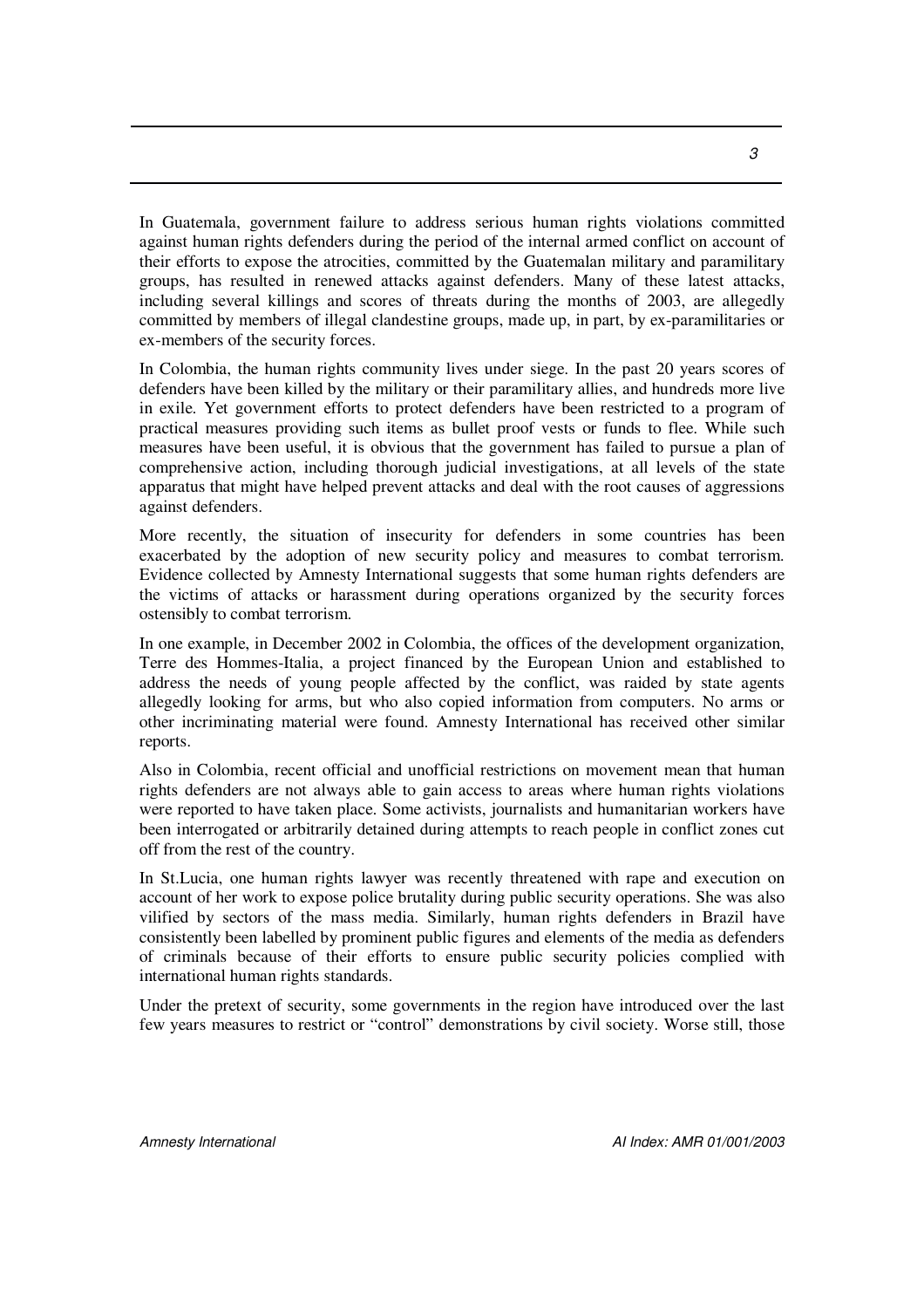In Guatemala, government failure to address serious human rights violations committed against human rights defenders during the period of the internal armed conflict on account of their efforts to expose the atrocities, committed by the Guatemalan military and paramilitary groups, has resulted in renewed attacks against defenders. Many of these latest attacks, including several killings and scores of threats during the months of 2003, are allegedly committed by members of illegal clandestine groups, made up, in part, by ex-paramilitaries or ex-members of the security forces.

In Colombia, the human rights community lives under siege. In the past 20 years scores of defenders have been killed by the military or their paramilitary allies, and hundreds more live in exile. Yet government efforts to protect defenders have been restricted to a program of practical measures providing such items as bullet proof vests or funds to flee. While such measures have been useful, it is obvious that the government has failed to pursue a plan of comprehensive action, including thorough judicial investigations, at all levels of the state apparatus that might have helped prevent attacks and deal with the root causes of aggressions against defenders.

More recently, the situation of insecurity for defenders in some countries has been exacerbated by the adoption of new security policy and measures to combat terrorism. Evidence collected by Amnesty International suggests that some human rights defenders are the victims of attacks or harassment during operations organized by the security forces ostensibly to combat terrorism.

In one example, in December 2002 in Colombia, the offices of the development organization, Terre des Hommes-Italia, a project financed by the European Union and established to address the needs of young people affected by the conflict, was raided by state agents allegedly looking for arms, but who also copied information from computers. No arms or other incriminating material were found. Amnesty International has received other similar reports.

Also in Colombia, recent official and unofficial restrictions on movement mean that human rights defenders are not always able to gain access to areas where human rights violations were reported to have taken place. Some activists, journalists and humanitarian workers have been interrogated or arbitrarily detained during attempts to reach people in conflict zones cut off from the rest of the country.

In St.Lucia, one human rights lawyer was recently threatened with rape and execution on account of her work to expose police brutality during public security operations. She was also vilified by sectors of the mass media. Similarly, human rights defenders in Brazil have consistently been labelled by prominent public figures and elements of the media as defenders of criminals because of their efforts to ensure public security policies complied with international human rights standards.

Under the pretext of security, some governments in the region have introduced over the last few years measures to restrict or "control" demonstrations by civil society. Worse still, those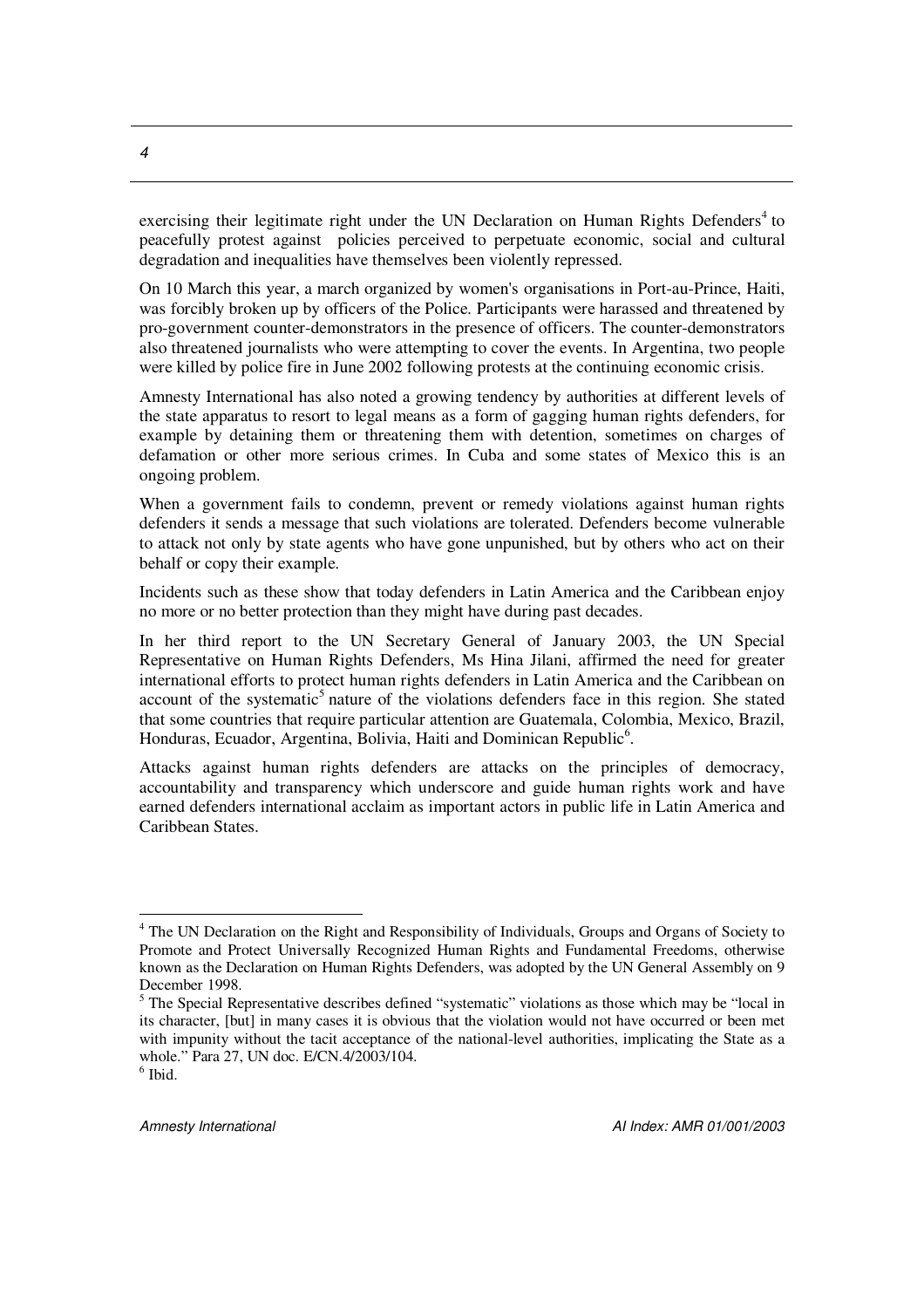exercising their legitimate right under the UN Declaration on Human Rights Defenders<sup>4</sup> to peacefully protest against policies perceived to perpetuate economic, social and cultural degradation and inequalities have themselves been violently repressed.

On 10 March this year, a march organized by women's organisations in Port-au-Prince, Haiti, was forcibly broken up by officers of the Police. Participants were harassed and threatened by pro-government counter-demonstrators in the presence of officers. The counter-demonstrators also threatened journalists who were attempting to cover the events. In Argentina, two people were killed by police fire in June 2002 following protests at the continuing economic crisis.

Amnesty International has also noted a growing tendency by authorities at different levels of the state apparatus to resort to legal means as a form of gagging human rights defenders, for example by detaining them or threatening them with detention, sometimes on charges of defamation or other more serious crimes. In Cuba and some states of Mexico this is an ongoing problem.

When a government fails to condemn, prevent or remedy violations against human rights defenders it sends a message that such violations are tolerated. Defenders become vulnerable to attack not only by state agents who have gone unpunished, but by others who act on their behalf or copy their example.

Incidents such as these show that today defenders in Latin America and the Caribbean enjoy no more or no better protection than they might have during past decades.

In her third report to the UN Secretary General of January 2003, the UN Special Representative on Human Rights Defenders, Ms Hina Jilani, affirmed the need for greater international efforts to protect human rights defenders in Latin America and the Caribbean on account of the systematic<sup>5</sup> nature of the violations defenders face in this region. She stated that some countries that require particular attention are Guatemala, Colombia, Mexico, Brazil, Honduras, Ecuador, Argentina, Bolivia, Haiti and Dominican Republic<sup>6</sup>.

Attacks against human rights defenders are attacks on the principles of democracy, accountability and transparency which underscore and guide human rights work and have earned defenders international acclaim as important actors in public life in Latin America and Caribbean States.

<sup>&</sup>lt;sup>4</sup> The UN Declaration on the Right and Responsibility of Individuals, Groups and Organs of Society to Promote and Protect Universally Recognized Human Rights and Fundamental Freedoms, otherwise known as the Declaration on Human Rights Defenders, was adopted by the UN General Assembly on 9 December 1998.

<sup>&</sup>lt;sup>5</sup> The Special Representative describes defined "systematic" violations as those which may be "local in its character, [but] in many cases it is obvious that the violation would not have occurred or been met with impunity without the tacit acceptance of the national-level authorities, implicating the State as a whole." Para 27, UN doc. E/CN.4/2003/104.

 $<sup>6</sup>$  Ibid.</sup>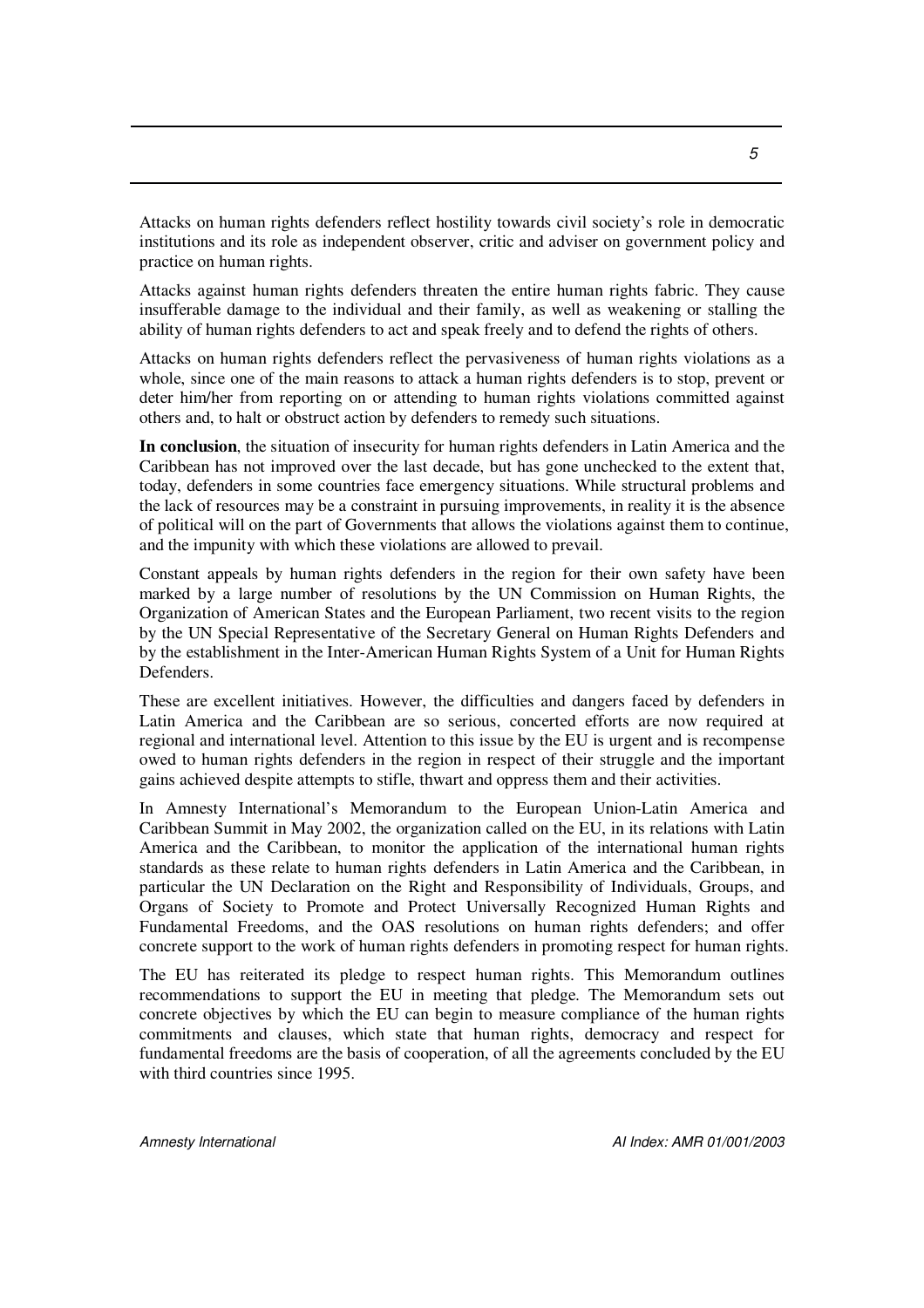Attacks on human rights defenders reflect hostility towards civil society's role in democratic institutions and its role as independent observer, critic and adviser on government policy and practice on human rights.

Attacks against human rights defenders threaten the entire human rights fabric. They cause insufferable damage to the individual and their family, as well as weakening or stalling the ability of human rights defenders to act and speak freely and to defend the rights of others.

Attacks on human rights defenders reflect the pervasiveness of human rights violations as a whole, since one of the main reasons to attack a human rights defenders is to stop, prevent or deter him/her from reporting on or attending to human rights violations committed against others and, to halt or obstruct action by defenders to remedy such situations.

**In conclusion**, the situation of insecurity for human rights defenders in Latin America and the Caribbean has not improved over the last decade, but has gone unchecked to the extent that, today, defenders in some countries face emergency situations. While structural problems and the lack of resources may be a constraint in pursuing improvements, in reality it is the absence of political will on the part of Governments that allows the violations against them to continue, and the impunity with which these violations are allowed to prevail.

Constant appeals by human rights defenders in the region for their own safety have been marked by a large number of resolutions by the UN Commission on Human Rights, the Organization of American States and the European Parliament, two recent visits to the region by the UN Special Representative of the Secretary General on Human Rights Defenders and by the establishment in the Inter-American Human Rights System of a Unit for Human Rights Defenders.

These are excellent initiatives. However, the difficulties and dangers faced by defenders in Latin America and the Caribbean are so serious, concerted efforts are now required at regional and international level. Attention to this issue by the EU is urgent and is recompense owed to human rights defenders in the region in respect of their struggle and the important gains achieved despite attempts to stifle, thwart and oppress them and their activities.

In Amnesty International's Memorandum to the European Union-Latin America and Caribbean Summit in May 2002, the organization called on the EU, in its relations with Latin America and the Caribbean, to monitor the application of the international human rights standards as these relate to human rights defenders in Latin America and the Caribbean, in particular the UN Declaration on the Right and Responsibility of Individuals, Groups, and Organs of Society to Promote and Protect Universally Recognized Human Rights and Fundamental Freedoms, and the OAS resolutions on human rights defenders; and offer concrete support to the work of human rights defenders in promoting respect for human rights.

The EU has reiterated its pledge to respect human rights. This Memorandum outlines recommendations to support the EU in meeting that pledge. The Memorandum sets out concrete objectives by which the EU can begin to measure compliance of the human rights commitments and clauses, which state that human rights, democracy and respect for fundamental freedoms are the basis of cooperation, of all the agreements concluded by the EU with third countries since 1995.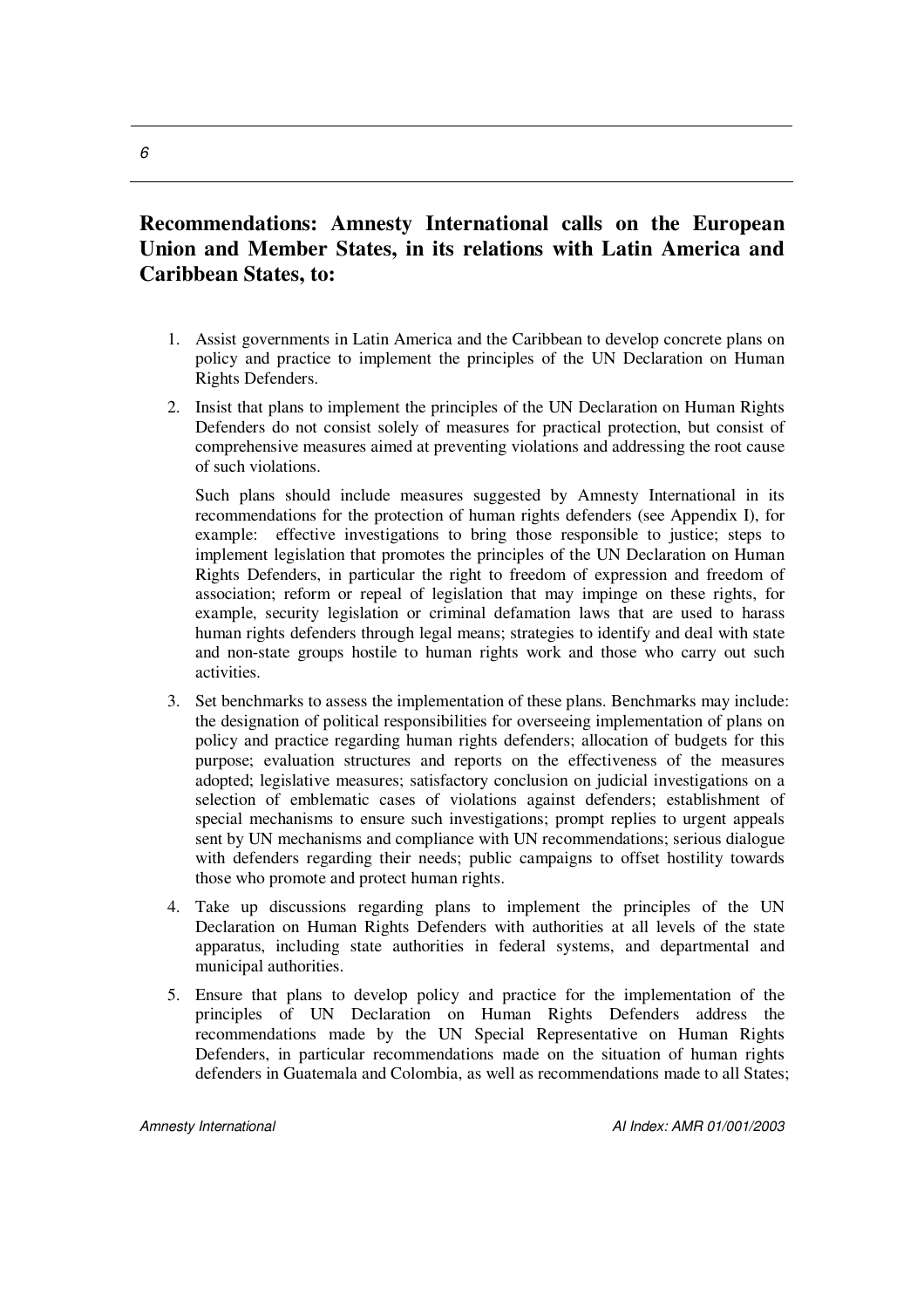#### **Recommendations: Amnesty International calls on the European Union and Member States, in its relations with Latin America and Caribbean States, to:**

- 1. Assist governments in Latin America and the Caribbean to develop concrete plans on policy and practice to implement the principles of the UN Declaration on Human Rights Defenders.
- 2. Insist that plans to implement the principles of the UN Declaration on Human Rights Defenders do not consist solely of measures for practical protection, but consist of comprehensive measures aimed at preventing violations and addressing the root cause of such violations.

Such plans should include measures suggested by Amnesty International in its recommendations for the protection of human rights defenders (see Appendix I), for example: effective investigations to bring those responsible to justice; steps to implement legislation that promotes the principles of the UN Declaration on Human Rights Defenders, in particular the right to freedom of expression and freedom of association; reform or repeal of legislation that may impinge on these rights, for example, security legislation or criminal defamation laws that are used to harass human rights defenders through legal means; strategies to identify and deal with state and non-state groups hostile to human rights work and those who carry out such activities.

- 3. Set benchmarks to assess the implementation of these plans. Benchmarks may include: the designation of political responsibilities for overseeing implementation of plans on policy and practice regarding human rights defenders; allocation of budgets for this purpose; evaluation structures and reports on the effectiveness of the measures adopted; legislative measures; satisfactory conclusion on judicial investigations on a selection of emblematic cases of violations against defenders; establishment of special mechanisms to ensure such investigations; prompt replies to urgent appeals sent by UN mechanisms and compliance with UN recommendations; serious dialogue with defenders regarding their needs; public campaigns to offset hostility towards those who promote and protect human rights.
- 4. Take up discussions regarding plans to implement the principles of the UN Declaration on Human Rights Defenders with authorities at all levels of the state apparatus, including state authorities in federal systems, and departmental and municipal authorities.
- 5. Ensure that plans to develop policy and practice for the implementation of the principles of UN Declaration on Human Rights Defenders address the recommendations made by the UN Special Representative on Human Rights Defenders, in particular recommendations made on the situation of human rights defenders in Guatemala and Colombia, as well as recommendations made to all States;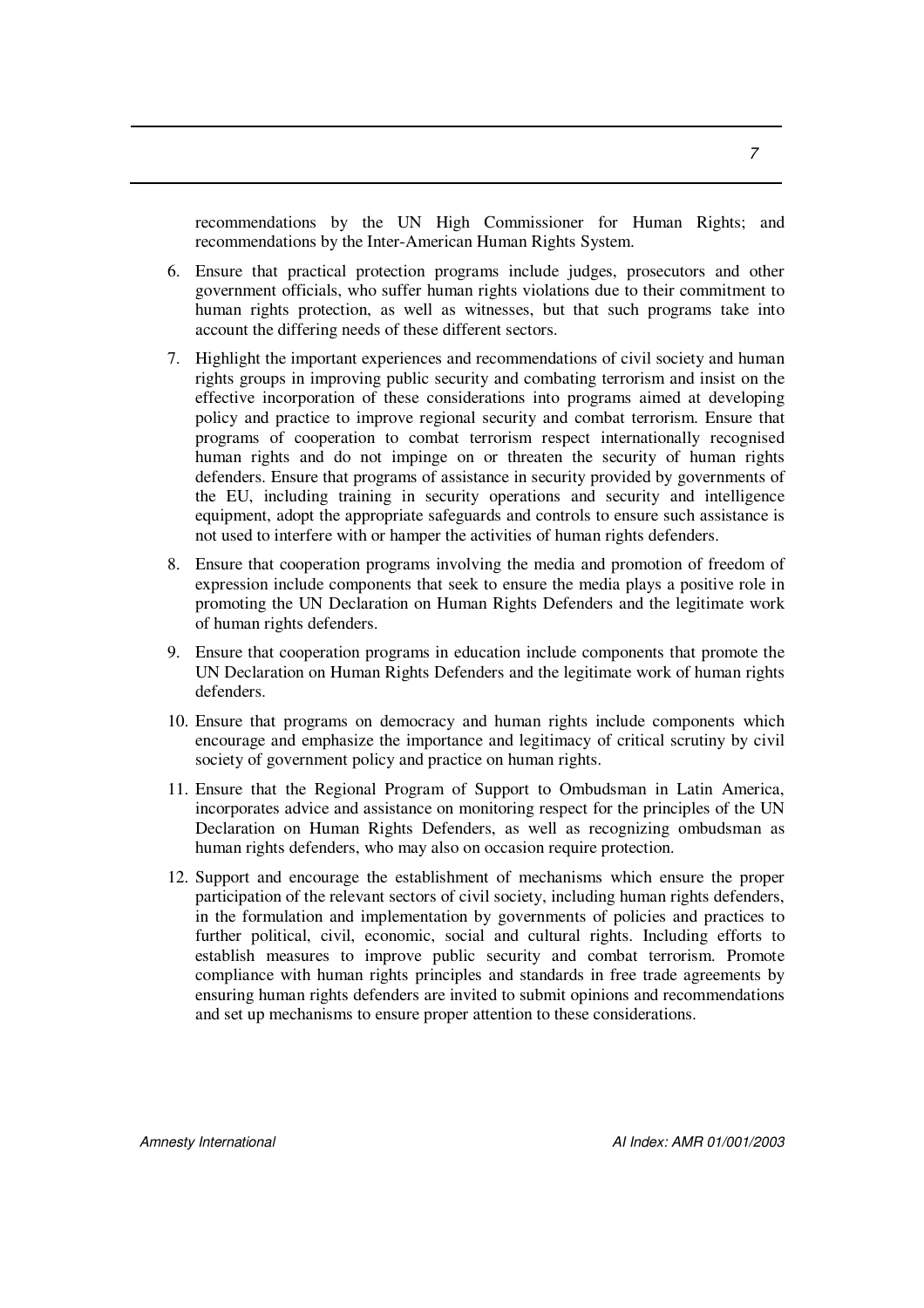recommendations by the UN High Commissioner for Human Rights; and recommendations by the Inter-American Human Rights System.

- 6. Ensure that practical protection programs include judges, prosecutors and other government officials, who suffer human rights violations due to their commitment to human rights protection, as well as witnesses, but that such programs take into account the differing needs of these different sectors.
- 7. Highlight the important experiences and recommendations of civil society and human rights groups in improving public security and combating terrorism and insist on the effective incorporation of these considerations into programs aimed at developing policy and practice to improve regional security and combat terrorism. Ensure that programs of cooperation to combat terrorism respect internationally recognised human rights and do not impinge on or threaten the security of human rights defenders. Ensure that programs of assistance in security provided by governments of the EU, including training in security operations and security and intelligence equipment, adopt the appropriate safeguards and controls to ensure such assistance is not used to interfere with or hamper the activities of human rights defenders.
- 8. Ensure that cooperation programs involving the media and promotion of freedom of expression include components that seek to ensure the media plays a positive role in promoting the UN Declaration on Human Rights Defenders and the legitimate work of human rights defenders.
- 9. Ensure that cooperation programs in education include components that promote the UN Declaration on Human Rights Defenders and the legitimate work of human rights defenders.
- 10. Ensure that programs on democracy and human rights include components which encourage and emphasize the importance and legitimacy of critical scrutiny by civil society of government policy and practice on human rights.
- 11. Ensure that the Regional Program of Support to Ombudsman in Latin America, incorporates advice and assistance on monitoring respect for the principles of the UN Declaration on Human Rights Defenders, as well as recognizing ombudsman as human rights defenders, who may also on occasion require protection.
- 12. Support and encourage the establishment of mechanisms which ensure the proper participation of the relevant sectors of civil society, including human rights defenders, in the formulation and implementation by governments of policies and practices to further political, civil, economic, social and cultural rights. Including efforts to establish measures to improve public security and combat terrorism. Promote compliance with human rights principles and standards in free trade agreements by ensuring human rights defenders are invited to submit opinions and recommendations and set up mechanisms to ensure proper attention to these considerations.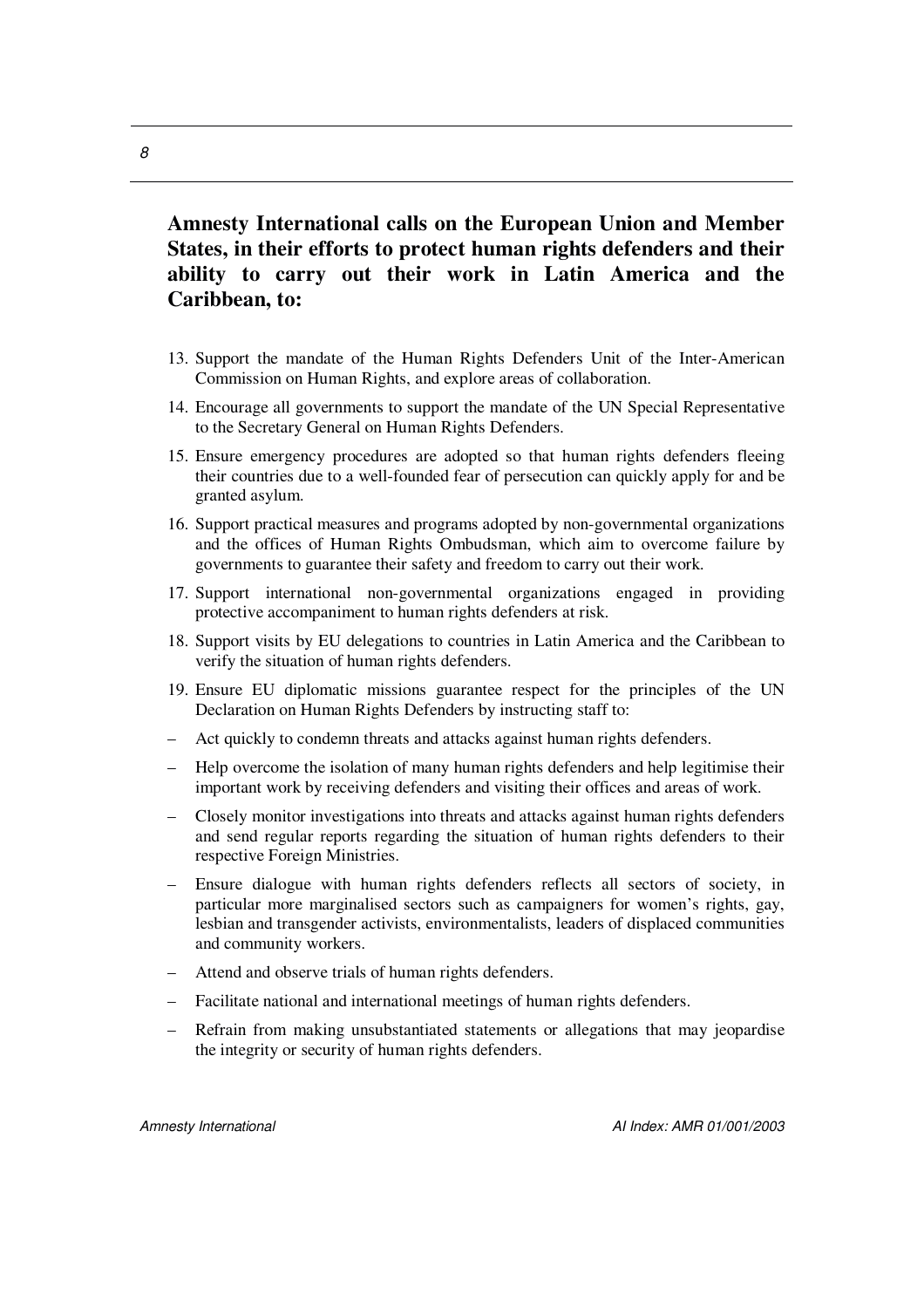## **Amnesty International calls on the European Union and Member States, in their efforts to protect human rights defenders and their ability to carry out their work in Latin America and the Caribbean, to:**

- 13. Support the mandate of the Human Rights Defenders Unit of the Inter-American Commission on Human Rights, and explore areas of collaboration.
- 14. Encourage all governments to support the mandate of the UN Special Representative to the Secretary General on Human Rights Defenders.
- 15. Ensure emergency procedures are adopted so that human rights defenders fleeing their countries due to a well-founded fear of persecution can quickly apply for and be granted asylum.
- 16. Support practical measures and programs adopted by non-governmental organizations and the offices of Human Rights Ombudsman, which aim to overcome failure by governments to guarantee their safety and freedom to carry out their work.
- 17. Support international non-governmental organizations engaged in providing protective accompaniment to human rights defenders at risk.
- 18. Support visits by EU delegations to countries in Latin America and the Caribbean to verify the situation of human rights defenders.
- 19. Ensure EU diplomatic missions guarantee respect for the principles of the UN Declaration on Human Rights Defenders by instructing staff to:
- Act quickly to condemn threats and attacks against human rights defenders.
- Help overcome the isolation of many human rights defenders and help legitimise their important work by receiving defenders and visiting their offices and areas of work.
- Closely monitor investigations into threats and attacks against human rights defenders and send regular reports regarding the situation of human rights defenders to their respective Foreign Ministries.
- Ensure dialogue with human rights defenders reflects all sectors of society, in particular more marginalised sectors such as campaigners for women's rights, gay, lesbian and transgender activists, environmentalists, leaders of displaced communities and community workers.
- Attend and observe trials of human rights defenders.
- Facilitate national and international meetings of human rights defenders.
- Refrain from making unsubstantiated statements or allegations that may jeopardise the integrity or security of human rights defenders.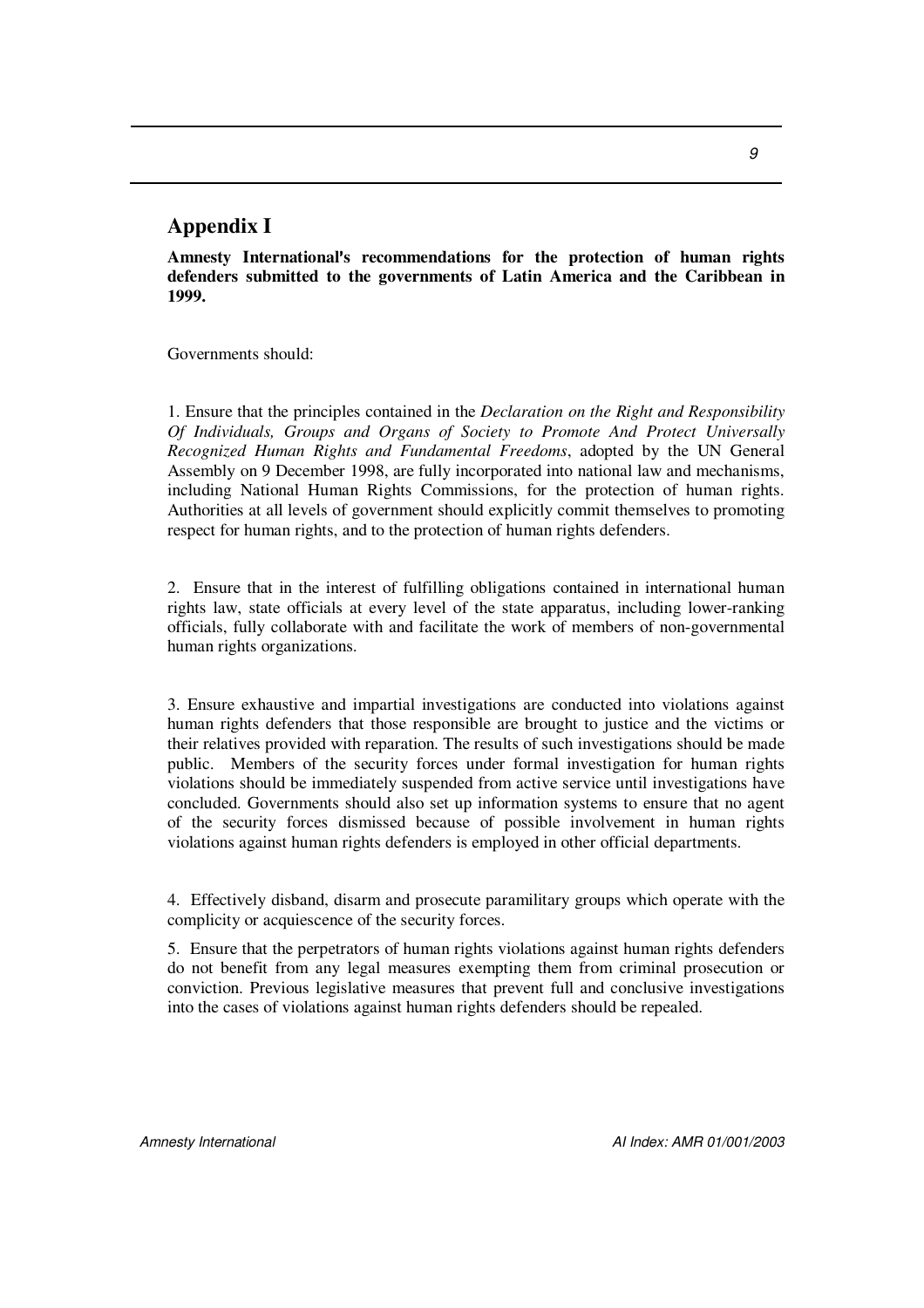#### **Appendix I**

**Amnesty Internationals recommendations for the protection of human rights defenders submitted to the governments of Latin America and the Caribbean in 1999.**

Governments should:

1. Ensure that the principles contained in the *Declaration on the Right and Responsibility Of Individuals, Groups and Organs of Society to Promote And Protect Universally Recognized Human Rights and Fundamental Freedoms*, adopted by the UN General Assembly on 9 December 1998, are fully incorporated into national law and mechanisms, including National Human Rights Commissions, for the protection of human rights. Authorities at all levels of government should explicitly commit themselves to promoting respect for human rights, and to the protection of human rights defenders.

2. Ensure that in the interest of fulfilling obligations contained in international human rights law, state officials at every level of the state apparatus, including lower-ranking officials, fully collaborate with and facilitate the work of members of non-governmental human rights organizations.

3. Ensure exhaustive and impartial investigations are conducted into violations against human rights defenders that those responsible are brought to justice and the victims or their relatives provided with reparation. The results of such investigations should be made public. Members of the security forces under formal investigation for human rights violations should be immediately suspended from active service until investigations have concluded. Governments should also set up information systems to ensure that no agent of the security forces dismissed because of possible involvement in human rights violations against human rights defenders is employed in other official departments.

4. Effectively disband, disarm and prosecute paramilitary groups which operate with the complicity or acquiescence of the security forces.

5. Ensure that the perpetrators of human rights violations against human rights defenders do not benefit from any legal measures exempting them from criminal prosecution or conviction. Previous legislative measures that prevent full and conclusive investigations into the cases of violations against human rights defenders should be repealed.